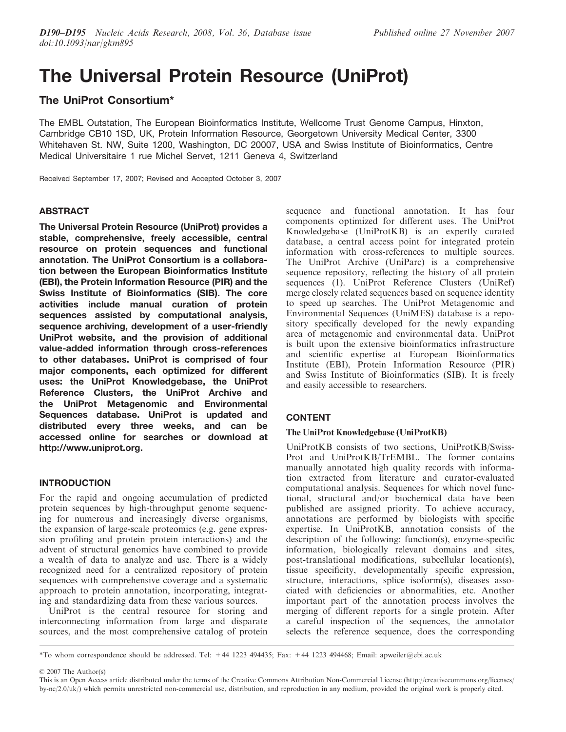# The Universal Protein Resource (UniProt)

# The UniProt Consortium\*

The EMBL Outstation, The European Bioinformatics Institute, Wellcome Trust Genome Campus, Hinxton, Cambridge CB10 1SD, UK, Protein Information Resource, Georgetown University Medical Center, 3300 Whitehaven St. NW, Suite 1200, Washington, DC 20007, USA and Swiss Institute of Bioinformatics, Centre Medical Universitaire 1 rue Michel Servet, 1211 Geneva 4, Switzerland

Received September 17, 2007; Revised and Accepted October 3, 2007

# **ABSTRACT**

The Universal Protein Resource (UniProt) provides a stable, comprehensive, freely accessible, central resource on protein sequences and functional annotation. The UniProt Consortium is a collaboration between the European Bioinformatics Institute (EBI), the Protein Information Resource (PIR) and the Swiss Institute of Bioinformatics (SIB). The core activities include manual curation of protein sequences assisted by computational analysis, sequence archiving, development of a user-friendly UniProt website, and the provision of additional value-added information through cross-references to other databases. UniProt is comprised of four major components, each optimized for different uses: the UniProt Knowledgebase, the UniProt Reference Clusters, the UniProt Archive and the UniProt Metagenomic and Environmental Sequences database. UniProt is updated and distributed every three weeks, and can be accessed online for searches or download at http://www.uniprot.org.

# INTRODUCTION

For the rapid and ongoing accumulation of predicted protein sequences by high-throughput genome sequencing for numerous and increasingly diverse organisms, the expansion of large-scale proteomics (e.g. gene expression profiling and protein–protein interactions) and the advent of structural genomics have combined to provide a wealth of data to analyze and use. There is a widely recognized need for a centralized repository of protein sequences with comprehensive coverage and a systematic approach to protein annotation, incorporating, integrating and standardizing data from these various sources.

UniProt is the central resource for storing and interconnecting information from large and disparate sources, and the most comprehensive catalog of protein

sequence and functional annotation. It has four components optimized for different uses. The UniProt Knowledgebase (UniProtKB) is an expertly curated database, a central access point for integrated protein information with cross-references to multiple sources. The UniProt Archive (UniParc) is a comprehensive sequence repository, reflecting the history of all protein sequences (1). UniProt Reference Clusters (UniRef) merge closely related sequences based on sequence identity to speed up searches. The UniProt Metagenomic and Environmental Sequences (UniMES) database is a repository specifically developed for the newly expanding area of metagenomic and environmental data. UniProt is built upon the extensive bioinformatics infrastructure and scientific expertise at European Bioinformatics Institute (EBI), Protein Information Resource (PIR) and Swiss Institute of Bioinformatics (SIB). It is freely and easily accessible to researchers.

# CONTENT

# The UniProt Knowledgebase (UniProtKB)

UniProtKB consists of two sections, UniProtKB/Swiss-Prot and UniProtKB/TrEMBL. The former contains manually annotated high quality records with information extracted from literature and curator-evaluated computational analysis. Sequences for which novel functional, structural and/or biochemical data have been published are assigned priority. To achieve accuracy, annotations are performed by biologists with specific expertise. In UniProtKB, annotation consists of the description of the following: function(s), enzyme-specific information, biologically relevant domains and sites, post-translational modifications, subcellular location(s), tissue specificity, developmentally specific expression, structure, interactions, splice isoform(s), diseases associated with deficiencies or abnormalities, etc. Another important part of the annotation process involves the merging of different reports for a single protein. After a careful inspection of the sequences, the annotator selects the reference sequence, does the corresponding

2007 The Author(s)

<sup>\*</sup>To whom correspondence should be addressed. Tel: +44 1223 494435; Fax: +44 1223 494468; Email: apweiler@ebi.ac.uk

This is an Open Access article distributed under the terms of the Creative Commons Attribution Non-Commercial License (http://creativecommons.org/licenses/ by-nc/2.0/uk/) which permits unrestricted non-commercial use, distribution, and reproduction in any medium, provided the original work is properly cited.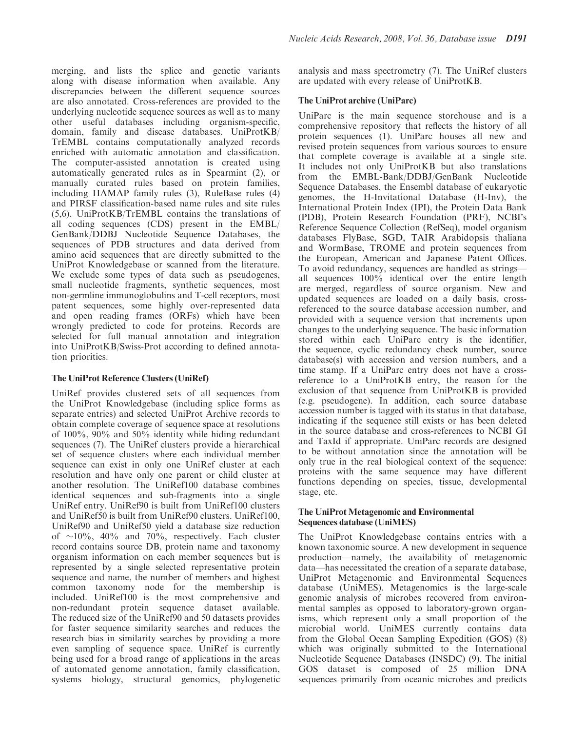merging, and lists the splice and genetic variants along with disease information when available. Any discrepancies between the different sequence sources are also annotated. Cross-references are provided to the underlying nucleotide sequence sources as well as to many other useful databases including organism-specific, domain, family and disease databases. UniProtKB/ TrEMBL contains computationally analyzed records enriched with automatic annotation and classification. The computer-assisted annotation is created using automatically generated rules as in Spearmint (2), or manually curated rules based on protein families, including HAMAP family rules (3), RuleBase rules (4) and PIRSF classification-based name rules and site rules (5,6). UniProtKB/TrEMBL contains the translations of all coding sequences (CDS) present in the EMBL/ GenBank/DDBJ Nucleotide Sequence Databases, the sequences of PDB structures and data derived from amino acid sequences that are directly submitted to the UniProt Knowledgebase or scanned from the literature. We exclude some types of data such as pseudogenes, small nucleotide fragments, synthetic sequences, most non-germline immunoglobulins and T-cell receptors, most patent sequences, some highly over-represented data and open reading frames (ORFs) which have been wrongly predicted to code for proteins. Records are selected for full manual annotation and integration into UniProtKB/Swiss-Prot according to defined annotation priorities.

# The UniProt Reference Clusters (UniRef)

UniRef provides clustered sets of all sequences from the UniProt Knowledgebase (including splice forms as separate entries) and selected UniProt Archive records to obtain complete coverage of sequence space at resolutions of 100%, 90% and 50% identity while hiding redundant sequences (7). The UniRef clusters provide a hierarchical set of sequence clusters where each individual member sequence can exist in only one UniRef cluster at each resolution and have only one parent or child cluster at another resolution. The UniRef100 database combines identical sequences and sub-fragments into a single UniRef entry. UniRef90 is built from UniRef100 clusters and UniRef50 is built from UniRef90 clusters. UniRef100, UniRef90 and UniRef50 yield a database size reduction of  $\sim$ 10%, 40% and 70%, respectively. Each cluster record contains source DB, protein name and taxonomy organism information on each member sequences but is represented by a single selected representative protein sequence and name, the number of members and highest common taxonomy node for the membership is included. UniRef100 is the most comprehensive and non-redundant protein sequence dataset available. The reduced size of the UniRef90 and 50 datasets provides for faster sequence similarity searches and reduces the research bias in similarity searches by providing a more even sampling of sequence space. UniRef is currently being used for a broad range of applications in the areas of automated genome annotation, family classification, systems biology, structural genomics, phylogenetic analysis and mass spectrometry (7). The UniRef clusters are updated with every release of UniProtKB.

# The UniProt archive (UniParc)

UniParc is the main sequence storehouse and is a comprehensive repository that reflects the history of all protein sequences (1). UniParc houses all new and revised protein sequences from various sources to ensure that complete coverage is available at a single site. It includes not only UniProtKB but also translations from the EMBL-Bank/DDBJ/GenBank Nucleotide Sequence Databases, the Ensembl database of eukaryotic genomes, the H-Invitational Database (H-Inv), the International Protein Index (IPI), the Protein Data Bank (PDB), Protein Research Foundation (PRF), NCBI's Reference Sequence Collection (RefSeq), model organism databases FlyBase, SGD, TAIR Arabidopsis thaliana and WormBase, TROME and protein sequences from the European, American and Japanese Patent Offices. To avoid redundancy, sequences are handled as strings all sequences 100% identical over the entire length are merged, regardless of source organism. New and updated sequences are loaded on a daily basis, crossreferenced to the source database accession number, and provided with a sequence version that increments upon changes to the underlying sequence. The basic information stored within each UniParc entry is the identifier, the sequence, cyclic redundancy check number, source database(s) with accession and version numbers, and a time stamp. If a UniParc entry does not have a crossreference to a UniProtKB entry, the reason for the exclusion of that sequence from UniProtKB is provided (e.g. pseudogene). In addition, each source database accession number is tagged with its status in that database, indicating if the sequence still exists or has been deleted in the source database and cross-references to NCBI GI and TaxId if appropriate. UniParc records are designed to be without annotation since the annotation will be only true in the real biological context of the sequence: proteins with the same sequence may have different functions depending on species, tissue, developmental stage, etc.

# The UniProt Metagenomic and Environmental Sequences database (UniMES)

The UniProt Knowledgebase contains entries with a known taxonomic source. A new development in sequence production—namely, the availability of metagenomic data—has necessitated the creation of a separate database, UniProt Metagenomic and Environmental Sequences database (UniMES). Metagenomics is the large-scale genomic analysis of microbes recovered from environmental samples as opposed to laboratory-grown organisms, which represent only a small proportion of the microbial world. UniMES currently contains data from the Global Ocean Sampling Expedition (GOS) (8) which was originally submitted to the International Nucleotide Sequence Databases (INSDC) (9). The initial GOS dataset is composed of 25 million DNA sequences primarily from oceanic microbes and predicts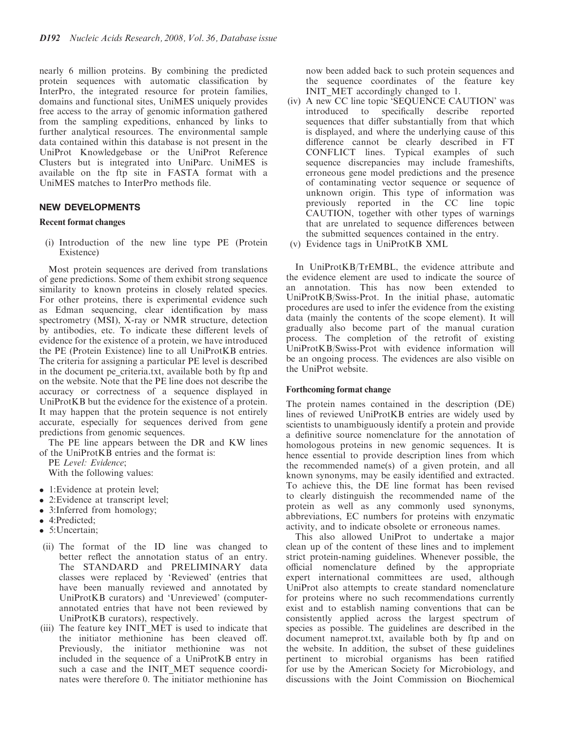nearly 6 million proteins. By combining the predicted protein sequences with automatic classification by InterPro, the integrated resource for protein families, domains and functional sites, UniMES uniquely provides free access to the array of genomic information gathered from the sampling expeditions, enhanced by links to further analytical resources. The environmental sample data contained within this database is not present in the UniProt Knowledgebase or the UniProt Reference Clusters but is integrated into UniParc. UniMES is available on the ftp site in FASTA format with a UniMES matches to InterPro methods file.

# NEW DEVELOPMENTS

#### Recent format changes

(i) Introduction of the new line type PE (Protein Existence)

Most protein sequences are derived from translations of gene predictions. Some of them exhibit strong sequence similarity to known proteins in closely related species. For other proteins, there is experimental evidence such as Edman sequencing, clear identification by mass spectrometry (MSI), X-ray or NMR structure, detection by antibodies, etc. To indicate these different levels of evidence for the existence of a protein, we have introduced the PE (Protein Existence) line to all UniProtKB entries. The criteria for assigning a particular PE level is described in the document pe\_criteria.txt, available both by ftp and on the website. Note that the PE line does not describe the accuracy or correctness of a sequence displayed in UniProtKB but the evidence for the existence of a protein. It may happen that the protein sequence is not entirely accurate, especially for sequences derived from gene predictions from genomic sequences.

The PE line appears between the DR and KW lines of the UniProtKB entries and the format is:

PE Level: Evidence; With the following values:

- 1: Evidence at protein level;
- 2: Evidence at transcript level;
- 3:Inferred from homology;
- 4:Predicted;
- 5: Uncertain;
- (ii) The format of the ID line was changed to better reflect the annotation status of an entry. The STANDARD and PRELIMINARY data classes were replaced by 'Reviewed' (entries that have been manually reviewed and annotated by UniProtKB curators) and 'Unreviewed' (computerannotated entries that have not been reviewed by UniProtKB curators), respectively.
- (iii) The feature key INIT\_MET is used to indicate that the initiator methionine has been cleaved off. Previously, the initiator methionine was not included in the sequence of a UniProtKB entry in such a case and the INIT\_MET sequence coordinates were therefore 0. The initiator methionine has

now been added back to such protein sequences and the sequence coordinates of the feature key INIT\_MET accordingly changed to 1.

- (iv) A new CC line topic 'SEQUENCE CAUTION' was introduced to specifically describe reported sequences that differ substantially from that which is displayed, and where the underlying cause of this difference cannot be clearly described in FT CONFLICT lines. Typical examples of such sequence discrepancies may include frameshifts, erroneous gene model predictions and the presence of contaminating vector sequence or sequence of unknown origin. This type of information was previously reported in the CC line topic CAUTION, together with other types of warnings that are unrelated to sequence differences between the submitted sequences contained in the entry.
- (v) Evidence tags in UniProtKB XML

In UniProtKB/TrEMBL, the evidence attribute and the evidence element are used to indicate the source of an annotation. This has now been extended to UniProtKB/Swiss-Prot. In the initial phase, automatic procedures are used to infer the evidence from the existing data (mainly the contents of the scope element). It will gradually also become part of the manual curation process. The completion of the retrofit of existing UniProtKB/Swiss-Prot with evidence information will be an ongoing process. The evidences are also visible on the UniProt website.

#### Forthcoming format change

The protein names contained in the description (DE) lines of reviewed UniProtKB entries are widely used by scientists to unambiguously identify a protein and provide a definitive source nomenclature for the annotation of homologous proteins in new genomic sequences. It is hence essential to provide description lines from which the recommended name(s) of a given protein, and all known synonyms, may be easily identified and extracted. To achieve this, the DE line format has been revised to clearly distinguish the recommended name of the protein as well as any commonly used synonyms, abbreviations, EC numbers for proteins with enzymatic activity, and to indicate obsolete or erroneous names.

This also allowed UniProt to undertake a major clean up of the content of these lines and to implement strict protein-naming guidelines. Whenever possible, the official nomenclature defined by the appropriate expert international committees are used, although UniProt also attempts to create standard nomenclature for proteins where no such recommendations currently exist and to establish naming conventions that can be consistently applied across the largest spectrum of species as possible. The guidelines are described in the document nameprot.txt, available both by ftp and on the website. In addition, the subset of these guidelines pertinent to microbial organisms has been ratified for use by the American Society for Microbiology, and discussions with the Joint Commission on Biochemical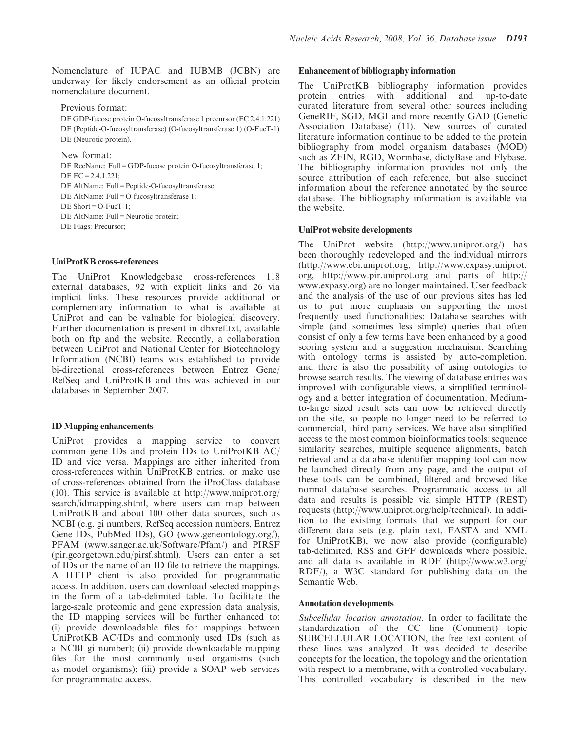Nomenclature of IUPAC and IUBMB (JCBN) are underway for likely endorsement as an official protein nomenclature document.

Previous format:

DE GDP-fucose protein O-fucosyltransferase 1 precursor (EC 2.4.1.221) DE (Peptide-O-fucosyltransferase) (O-fucosyltransferase 1) (O-FucT-1) DE (Neurotic protein).

New format:

DE RecName: Full=GDP-fucose protein O-fucosyltransferase 1; DE  $FC = 2.4.1.221$ ; DE AltName: Full=Peptide-O-fucosyltransferase; DE AltName: Full=O-fucosyltransferase 1; DE Short=O-FucT-1; DE AltName: Full=Neurotic protein; DE Flags: Precursor;

## UniProtKB cross-references

The UniProt Knowledgebase cross-references 118 external databases, 92 with explicit links and 26 via implicit links. These resources provide additional or complementary information to what is available at UniProt and can be valuable for biological discovery. Further documentation is present in dbxref.txt, available both on ftp and the website. Recently, a collaboration between UniProt and National Center for Biotechnology Information (NCBI) teams was established to provide bi-directional cross-references between Entrez Gene/ RefSeq and UniProtKB and this was achieved in our databases in September 2007.

#### ID Mapping enhancements

UniProt provides a mapping service to convert common gene IDs and protein IDs to UniProtKB AC/ ID and vice versa. Mappings are either inherited from cross-references within UniProtKB entries, or make use of cross-references obtained from the iProClass database (10). This service is available at http://www.uniprot.org/ search/idmapping.shtml, where users can map between UniProtKB and about 100 other data sources, such as NCBI (e.g. gi numbers, RefSeq accession numbers, Entrez Gene IDs, PubMed IDs), GO (www.geneontology.org/), PFAM (www.sanger.ac.uk/Software/Pfam/) and PIRSF (pir.georgetown.edu/pirsf.shtml). Users can enter a set of IDs or the name of an ID file to retrieve the mappings. A HTTP client is also provided for programmatic access. In addition, users can download selected mappings in the form of a tab-delimited table. To facilitate the large-scale proteomic and gene expression data analysis, the ID mapping services will be further enhanced to: (i) provide downloadable files for mappings between UniProtKB AC/IDs and commonly used IDs (such as a NCBI gi number); (ii) provide downloadable mapping files for the most commonly used organisms (such as model organisms); (iii) provide a SOAP web services for programmatic access.

#### Enhancement of bibliography information

The UniProtKB bibliography information provides protein entries with additional and up-to-date curated literature from several other sources including GeneRIF, SGD, MGI and more recently GAD (Genetic Association Database) (11). New sources of curated literature information continue to be added to the protein bibliography from model organism databases (MOD) such as ZFIN, RGD, Wormbase, dictyBase and Flybase. The bibliography information provides not only the source attribution of each reference, but also succinct information about the reference annotated by the source database. The bibliography information is available via the website.

## UniProt website developments

The UniProt website (http://www.uniprot.org/) has been thoroughly redeveloped and the individual mirrors (http://www.ebi.uniprot.org, http://www.expasy.uniprot. org, http://www.pir.uniprot.org and parts of http:// www.expasy.org) are no longer maintained. User feedback and the analysis of the use of our previous sites has led us to put more emphasis on supporting the most frequently used functionalities: Database searches with simple (and sometimes less simple) queries that often consist of only a few terms have been enhanced by a good scoring system and a suggestion mechanism. Searching with ontology terms is assisted by auto-completion, and there is also the possibility of using ontologies to browse search results. The viewing of database entries was improved with configurable views, a simplified terminology and a better integration of documentation. Mediumto-large sized result sets can now be retrieved directly on the site, so people no longer need to be referred to commercial, third party services. We have also simplified access to the most common bioinformatics tools: sequence similarity searches, multiple sequence alignments, batch retrieval and a database identifier mapping tool can now be launched directly from any page, and the output of these tools can be combined, filtered and browsed like normal database searches. Programmatic access to all data and results is possible via simple HTTP (REST) requests (http://www.uniprot.org/help/technical). In addition to the existing formats that we support for our different data sets (e.g. plain text, FASTA and XML for UniProtKB), we now also provide (configurable) tab-delimited, RSS and GFF downloads where possible, and all data is available in RDF (http://www.w3.org/ RDF/), a W3C standard for publishing data on the Semantic Web.

#### Annotation developments

Subcellular location annotation. In order to facilitate the standardization of the CC line (Comment) topic SUBCELLULAR LOCATION, the free text content of these lines was analyzed. It was decided to describe concepts for the location, the topology and the orientation with respect to a membrane, with a controlled vocabulary. This controlled vocabulary is described in the new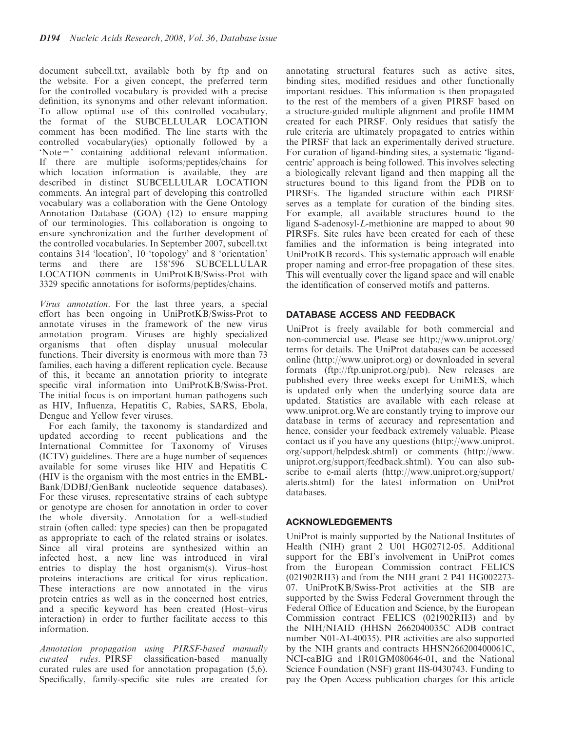document subcell.txt, available both by ftp and on the website. For a given concept, the preferred term for the controlled vocabulary is provided with a precise definition, its synonyms and other relevant information. To allow optimal use of this controlled vocabulary, the format of the SUBCELLULAR LOCATION comment has been modified. The line starts with the controlled vocabulary(ies) optionally followed by a 'Note=' containing additional relevant information. If there are multiple isoforms/peptides/chains for which location information is available, they are described in distinct SUBCELLULAR LOCATION comments. An integral part of developing this controlled vocabulary was a collaboration with the Gene Ontology Annotation Database (GOA) (12) to ensure mapping of our terminologies. This collaboration is ongoing to ensure synchronization and the further development of the controlled vocabularies. In September 2007, subcell.txt contains 314 'location', 10 'topology' and 8 'orientation' terms and there are 158'596 SUBCELLULAR LOCATION comments in UniProtKB/Swiss-Prot with 3329 specific annotations for isoforms/peptides/chains.

Virus annotation. For the last three years, a special effort has been ongoing in UniProtKB/Swiss-Prot to annotate viruses in the framework of the new virus annotation program. Viruses are highly specialized organisms that often display unusual molecular functions. Their diversity is enormous with more than 73 families, each having a different replication cycle. Because of this, it became an annotation priority to integrate specific viral information into UniProtKB/Swiss-Prot. The initial focus is on important human pathogens such as HIV, Influenza, Hepatitis C, Rabies, SARS, Ebola, Dengue and Yellow fever viruses.

For each family, the taxonomy is standardized and updated according to recent publications and the International Committee for Taxonomy of Viruses (ICTV) guidelines. There are a huge number of sequences available for some viruses like HIV and Hepatitis C (HIV is the organism with the most entries in the EMBL-Bank/DDBJ/GenBank nucleotide sequence databases). For these viruses, representative strains of each subtype or genotype are chosen for annotation in order to cover the whole diversity. Annotation for a well-studied strain (often called: type species) can then be propagated as appropriate to each of the related strains or isolates. Since all viral proteins are synthesized within an infected host, a new line was introduced in viral entries to display the host organism(s). Virus–host proteins interactions are critical for virus replication. These interactions are now annotated in the virus protein entries as well as in the concerned host entries, and a specific keyword has been created (Host–virus interaction) in order to further facilitate access to this information.

Annotation propagation using PIRSF-based manually curated rules. PIRSF classification-based manually curated rules are used for annotation propagation (5,6). Specifically, family-specific site rules are created for

annotating structural features such as active sites, binding sites, modified residues and other functionally important residues. This information is then propagated to the rest of the members of a given PIRSF based on a structure-guided multiple alignment and profile HMM created for each PIRSF. Only residues that satisfy the rule criteria are ultimately propagated to entries within the PIRSF that lack an experimentally derived structure. For curation of ligand-binding sites, a systematic 'ligandcentric' approach is being followed. This involves selecting a biologically relevant ligand and then mapping all the structures bound to this ligand from the PDB on to PIRSFs. The liganded structure within each PIRSF serves as a template for curation of the binding sites. For example, all available structures bound to the ligand S-adenosyl-L-methionine are mapped to about 90 PIRSFs. Site rules have been created for each of these families and the information is being integrated into UniProtKB records. This systematic approach will enable proper naming and error-free propagation of these sites. This will eventually cover the ligand space and will enable the identification of conserved motifs and patterns.

# DATABASE ACCESS AND FEEDBACK

UniProt is freely available for both commercial and non-commercial use. Please see http://www.uniprot.org/ terms for details. The UniProt databases can be accessed online (http://www.uniprot.org) or downloaded in several formats (ftp://ftp.uniprot.org/pub). New releases are published every three weeks except for UniMES, which is updated only when the underlying source data are updated. Statistics are available with each release at www.uniprot.org.We are constantly trying to improve our database in terms of accuracy and representation and hence, consider your feedback extremely valuable. Please contact us if you have any questions (http://www.uniprot. org/support/helpdesk.shtml) or comments (http://www. uniprot.org/support/feedback.shtml). You can also subscribe to e-mail alerts (http://www.uniprot.org/support/ alerts.shtml) for the latest information on UniProt databases.

# ACKNOWLEDGEMENTS

UniProt is mainly supported by the National Institutes of Health (NIH) grant 2 U01 HG02712-05. Additional support for the EBI's involvement in UniProt comes from the European Commission contract FELICS (021902RII3) and from the NIH grant 2 P41 HG002273- 07. UniProtKB/Swiss-Prot activities at the SIB are supported by the Swiss Federal Government through the Federal Office of Education and Science, by the European Commission contract FELICS (021902RII3) and by the NIH/NIAID (HHSN 2662040035C ADB contract number N01-AI-40035). PIR activities are also supported by the NIH grants and contracts HHSN266200400061C, NCI-caBIG and 1R01GM080646-01, and the National Science Foundation (NSF) grant IIS-0430743. Funding to pay the Open Access publication charges for this article